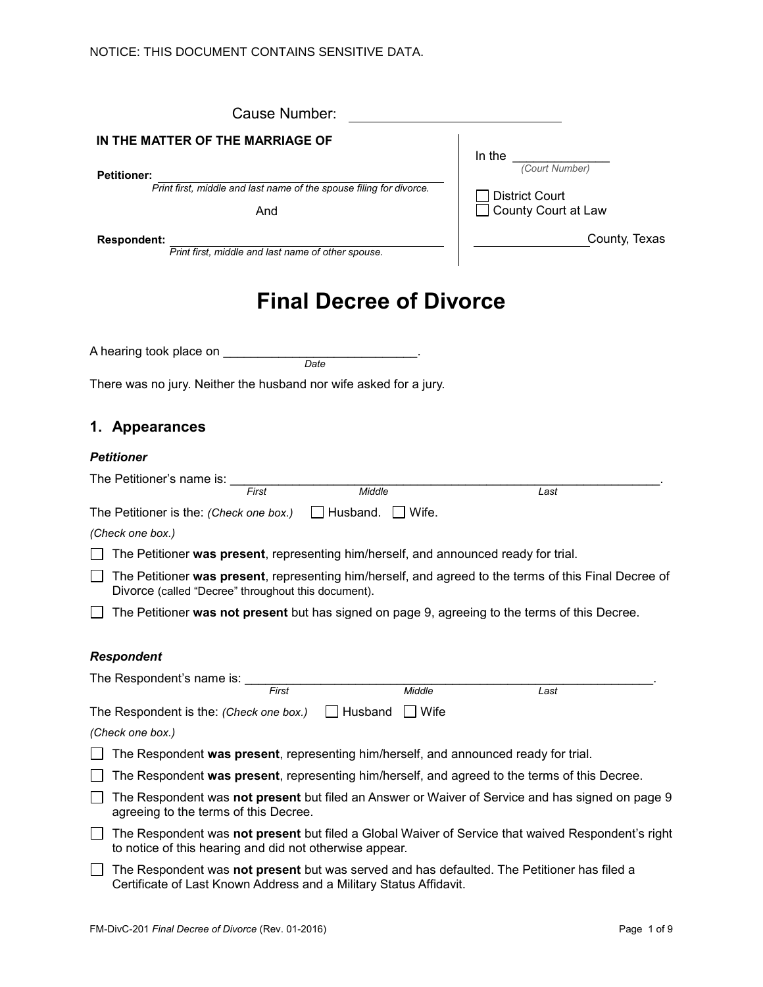| Cause Number:                                                                                                                                                     |                       |
|-------------------------------------------------------------------------------------------------------------------------------------------------------------------|-----------------------|
| IN THE MATTER OF THE MARRIAGE OF                                                                                                                                  | In the                |
| <b>Petitioner:</b>                                                                                                                                                | (Court Number)        |
| Print first, middle and last name of the spouse filing for divorce.                                                                                               | <b>District Court</b> |
| And                                                                                                                                                               | County Court at Law   |
| <b>Respondent:</b><br>Print first, middle and last name of other spouse.                                                                                          | County, Texas         |
| <b>Final Decree of Divorce</b>                                                                                                                                    |                       |
| A hearing took place on <b>with the above</b><br>Date                                                                                                             |                       |
| There was no jury. Neither the husband nor wife asked for a jury.                                                                                                 |                       |
| 1. Appearances                                                                                                                                                    |                       |
| <b>Petitioner</b>                                                                                                                                                 |                       |
| The Petitioner's name is: ___                                                                                                                                     |                       |
| $\overline{First}$<br>Middle                                                                                                                                      | Last                  |
| The Petitioner is the: (Check one box.)<br>$\Box$ Husband.<br>Wife.                                                                                               |                       |
| (Check one box.)                                                                                                                                                  |                       |
| The Petitioner was present, representing him/herself, and announced ready for trial.                                                                              |                       |
| The Petitioner was present, representing him/herself, and agreed to the terms of this Final Decree of<br>Divorce (called "Decree" throughout this document).      |                       |
| The Petitioner was not present but has signed on page 9, agreeing to the terms of this Decree.                                                                    |                       |
| <b>Respondent</b>                                                                                                                                                 |                       |
| The Respondent's name is:                                                                                                                                         |                       |
| Middle<br>First                                                                                                                                                   | Last                  |
| The Respondent is the: (Check one box.)<br>Husband<br>│ │ Wife                                                                                                    |                       |
| (Check one box.)                                                                                                                                                  |                       |
| The Respondent was present, representing him/herself, and announced ready for trial.                                                                              |                       |
| The Respondent was present, representing him/herself, and agreed to the terms of this Decree.                                                                     |                       |
| The Respondent was not present but filed an Answer or Waiver of Service and has signed on page 9<br>agreeing to the terms of this Decree.                         |                       |
| The Respondent was not present but filed a Global Waiver of Service that waived Respondent's right<br>to notice of this hearing and did not otherwise appear.     |                       |
| The Respondent was not present but was served and has defaulted. The Petitioner has filed a<br>Certificate of Last Known Address and a Military Status Affidavit. |                       |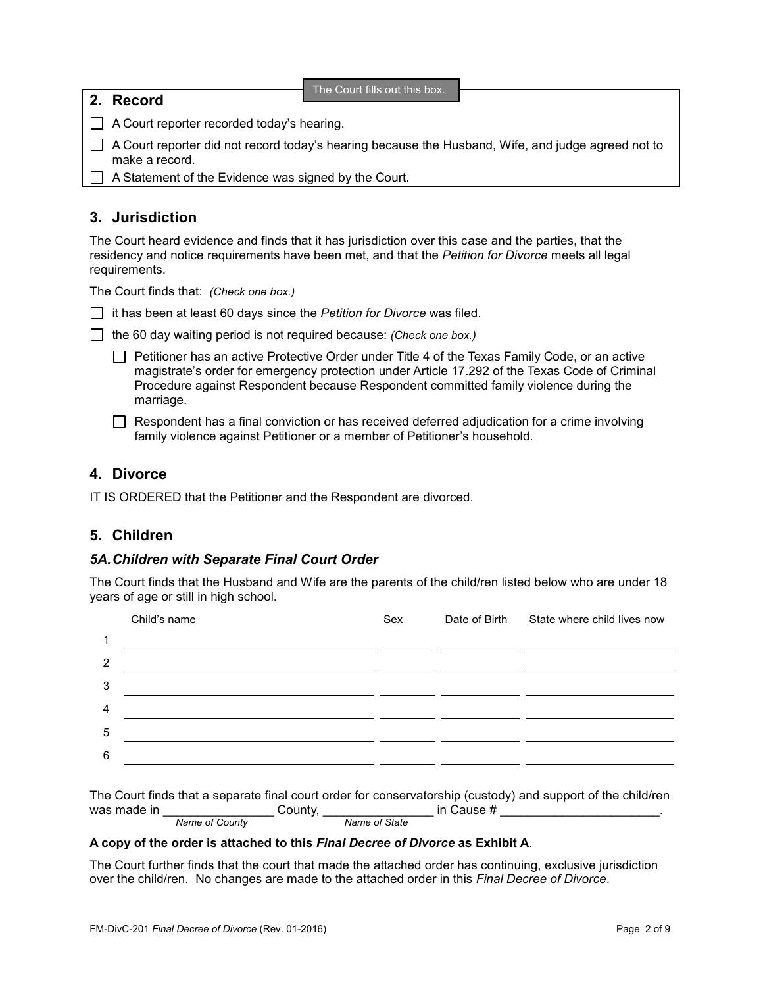**2. Record**

The Court fills out this box.

A Court reporter recorded today's hearing.

 $\Box$  A Court reporter did not record today's hearing because the Husband, Wife, and judge agreed not to make a record.

 $\Box$  A Statement of the Evidence was signed by the Court.

# **3. Jurisdiction**

The Court heard evidence and finds that it has jurisdiction over this case and the parties, that the residency and notice requirements have been met, and that the *Petition for Divorce* meets all legal requirements.

The Court finds that: *(Check one box.)*

it has been at least 60 days since the *Petition for Divorce* was filed.

|  |  | the 60 day waiting period is not required because: (Check one box.) |  |
|--|--|---------------------------------------------------------------------|--|
|  |  |                                                                     |  |

Petitioner has an active Protective Order under Title 4 of the Texas Family Code, or an active magistrate's order for emergency protection under Article 17.292 of the Texas Code of Criminal Procedure against Respondent because Respondent committed family violence during the marriage.

 $\Box$  Respondent has a final conviction or has received deferred adjudication for a crime involving family violence against Petitioner or a member of Petitioner's household.

## **4. Divorce**

IT IS ORDERED that the Petitioner and the Respondent are divorced.

## **5. Children**

## *5A.Children with Separate Final Court Order*

The Court finds that the Husband and Wife are the parents of the child/ren listed below who are under 18 years of age or still in high school.

|                | Child's name | Sex | Date of Birth State where child lives now |
|----------------|--------------|-----|-------------------------------------------|
| 1              |              |     |                                           |
| 2              |              |     |                                           |
| 3              |              |     |                                           |
| $\overline{4}$ |              |     |                                           |
| 5              |              |     |                                           |
| 6              |              |     |                                           |
|                |              |     |                                           |

|             |                |        |               |            | The Court finds that a separate final court order for conservatorship (custody) and support of the child/ren |
|-------------|----------------|--------|---------------|------------|--------------------------------------------------------------------------------------------------------------|
| was made in |                | County |               | in Cause # |                                                                                                              |
|             | Name of County |        | Name of State |            |                                                                                                              |

#### **A copy of the order is attached to this** *Final Decree of Divorce* **as Exhibit A**.

The Court further finds that the court that made the attached order has continuing, exclusive jurisdiction over the child/ren. No changes are made to the attached order in this *Final Decree of Divorce*.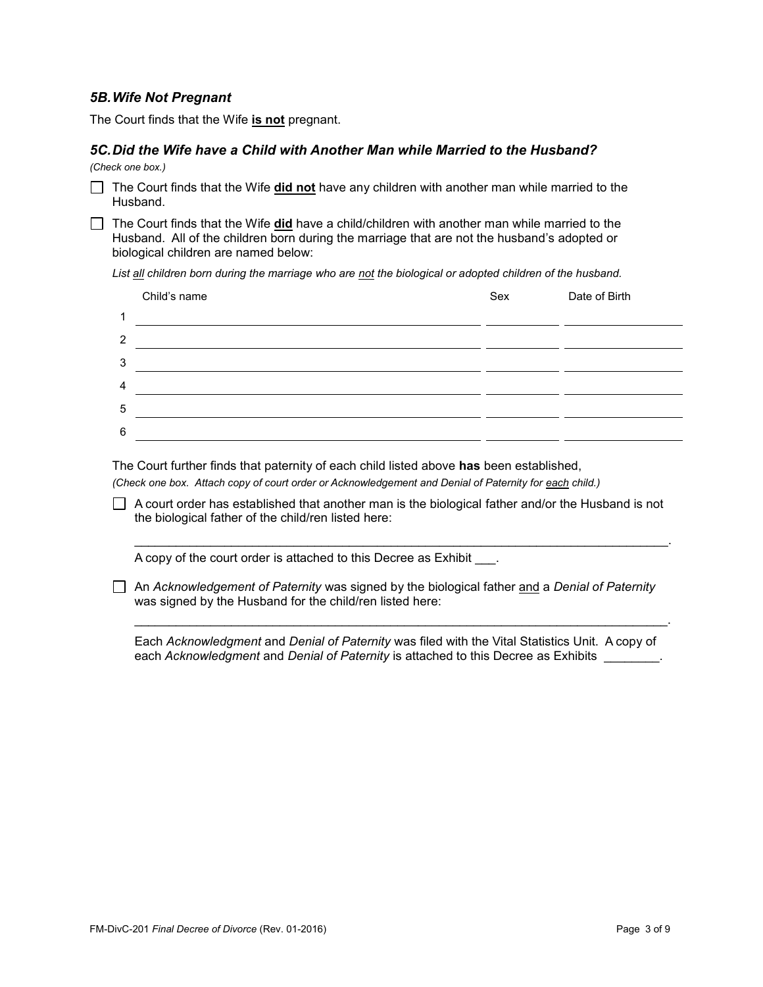### *5B.Wife Not Pregnant*

The Court finds that the Wife **is not** pregnant.

## *5C.Did the Wife have a Child with Another Man while Married to the Husband?*

*(Check one box.)*

The Court finds that the Wife **did not** have any children with another man while married to the Husband.

The Court finds that the Wife **did** have a child/children with another man while married to the Husband. All of the children born during the marriage that are not the husband's adopted or biological children are named below:

*List all children born during the marriage who are not the biological or adopted children of the husband.*

|                | Child's name | Sex | Date of Birth |
|----------------|--------------|-----|---------------|
| 1              |              |     |               |
| 2              |              |     |               |
| 3              |              |     |               |
| $\overline{4}$ |              |     |               |
| 5              |              |     |               |
| $\,6\,$        |              |     |               |
|                |              |     |               |

The Court further finds that paternity of each child listed above **has** been established,

*(Check one box. Attach copy of court order or Acknowledgement and Denial of Paternity for each child.)*

 $\Box$  A court order has established that another man is the biological father and/or the Husband is not the biological father of the child/ren listed here:

 $\mathcal{L}_\text{max}$  and  $\mathcal{L}_\text{max}$  and  $\mathcal{L}_\text{max}$  and  $\mathcal{L}_\text{max}$  and  $\mathcal{L}_\text{max}$  and  $\mathcal{L}_\text{max}$ 

A copy of the court order is attached to this Decree as Exhibit .

An *Acknowledgement of Paternity* was signed by the biological father and a *Denial of Paternity* was signed by the Husband for the child/ren listed here:

Each *Acknowledgment* and *Denial of Paternity* was filed with the Vital Statistics Unit. A copy of each *Acknowledgment* and *Denial of Paternity* is attached to this Decree as Exhibits \_\_\_\_\_\_\_\_.

\_\_\_\_\_\_\_\_\_\_\_\_\_\_\_\_\_\_\_\_\_\_\_\_\_\_\_\_\_\_\_\_\_\_\_\_\_\_\_\_\_\_\_\_\_\_\_\_\_\_\_\_\_\_\_\_\_\_\_\_\_\_\_\_\_\_\_\_\_\_\_\_\_\_\_\_\_.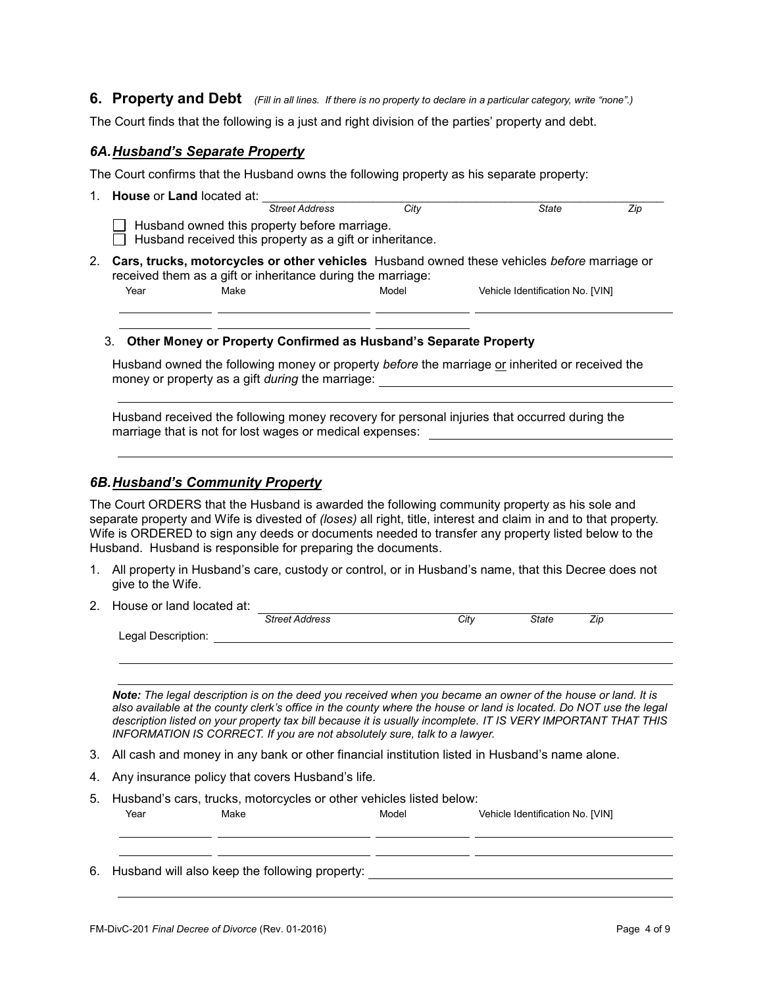**6. Property and Debt** *(Fill in all lines. If there is no property to declare in a particular category, write "none".)*

The Court finds that the following is a just and right division of the parties' property and debt.

### *6A.Husband's Separate Property*

The Court confirms that the Husband owns the following property as his separate property:

| <b>House or Land located at:</b>                                                                         |                       |       |                                                                                             |     |
|----------------------------------------------------------------------------------------------------------|-----------------------|-------|---------------------------------------------------------------------------------------------|-----|
|                                                                                                          | <b>Street Address</b> | City  | State                                                                                       | Zip |
| Husband owned this property before marriage.<br>Husband received this property as a gift or inheritance. |                       |       |                                                                                             |     |
| received them as a gift or inheritance during the marriage:                                              |                       |       | Cars, trucks, motorcycles or other vehicles Husband owned these vehicles before marriage or |     |
| Year<br>Make                                                                                             |                       | Model | Vehicle Identification No. [VIN]                                                            |     |

#### 3. **Other Money or Property Confirmed as Husband's Separate Property**

Husband owned the following money or property *before* the marriage or inherited or received the money or property as a gift *during* the marriage:

Husband received the following money recovery for personal injuries that occurred during the marriage that is not for lost wages or medical expenses:

## *6B.Husband's Community Property*

The Court ORDERS that the Husband is awarded the following community property as his sole and separate property and Wife is divested of *(loses)* all right, title, interest and claim in and to that property. Wife is ORDERED to sign any deeds or documents needed to transfer any property listed below to the Husband. Husband is responsible for preparing the documents.

- 1. All property in Husband's care, custody or control, or in Husband's name, that this Decree does not give to the Wife.
- 2. House or land located at:

|                    | <b>Street Address</b> | Citv | State | ∠ır |  |
|--------------------|-----------------------|------|-------|-----|--|
| Legal Description: |                       |      |       |     |  |
|                    |                       |      |       |     |  |

*Note: The legal description is on the deed you received when you became an owner of the house or land. It is also available at the county clerk's office in the county where the house or land is located. Do NOT use the legal description listed on your property tax bill because it is usually incomplete. IT IS VERY IMPORTANT THAT THIS INFORMATION IS CORRECT. If you are not absolutely sure, talk to a lawyer.*

- 3. All cash and money in any bank or other financial institution listed in Husband's name alone.
- 4. Any insurance policy that covers Husband's life.
- 5. Husband's cars, trucks, motorcycles or other vehicles listed below: Year Make Model Vehicle Identification No. [VIN]

6. Husband will also keep the following property: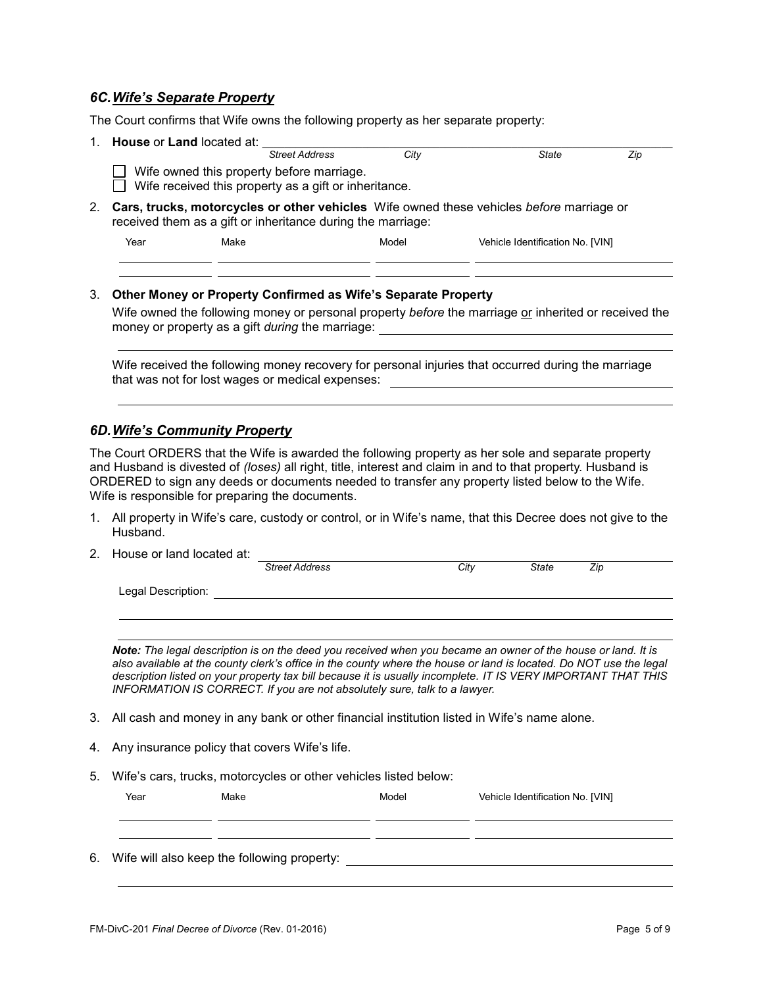### *6C.Wife's Separate Property*

The Court confirms that Wife owns the following property as her separate property:

1. **House** or **Land** located at:  $\frac{1}{\text{Street} \text{ Address}}$  City *Street Address City State Zip*  $\Box$  Wife owned this property before marriage.  $\Box$  Wife received this property as a gift or inheritance. 2. **Cars, trucks, motorcycles or other vehicles** Wife owned these vehicles *before* marriage or received them as a gift or inheritance during the marriage: Year Make Model Vehicle Identification No. [VIN]

## 3. **Other Money or Property Confirmed as Wife's Separate Property**

Wife owned the following money or personal property *before* the marriage or inherited or received the money or property as a gift *during* the marriage:

Wife received the following money recovery for personal injuries that occurred during the marriage that was not for lost wages or medical expenses:

#### *6D.Wife's Community Property*

The Court ORDERS that the Wife is awarded the following property as her sole and separate property and Husband is divested of *(loses)* all right, title, interest and claim in and to that property. Husband is ORDERED to sign any deeds or documents needed to transfer any property listed below to the Wife. Wife is responsible for preparing the documents.

- 1. All property in Wife's care, custody or control, or in Wife's name, that this Decree does not give to the Husband.
- 2. House or land located at: **Street Address City** City State Zip Legal Description:

*Note: The legal description is on the deed you received when you became an owner of the house or land. It is also available at the county clerk's office in the county where the house or land is located. Do NOT use the legal description listed on your property tax bill because it is usually incomplete. IT IS VERY IMPORTANT THAT THIS INFORMATION IS CORRECT. If you are not absolutely sure, talk to a lawyer.*

- 3. All cash and money in any bank or other financial institution listed in Wife's name alone.
- 4. Any insurance policy that covers Wife's life.
- 5. Wife's cars, trucks, motorcycles or other vehicles listed below:

| Year | Make                                           | Model | Vehicle Identification No. [VIN] |
|------|------------------------------------------------|-------|----------------------------------|
|      |                                                |       |                                  |
|      | 6. Wife will also keep the following property: |       |                                  |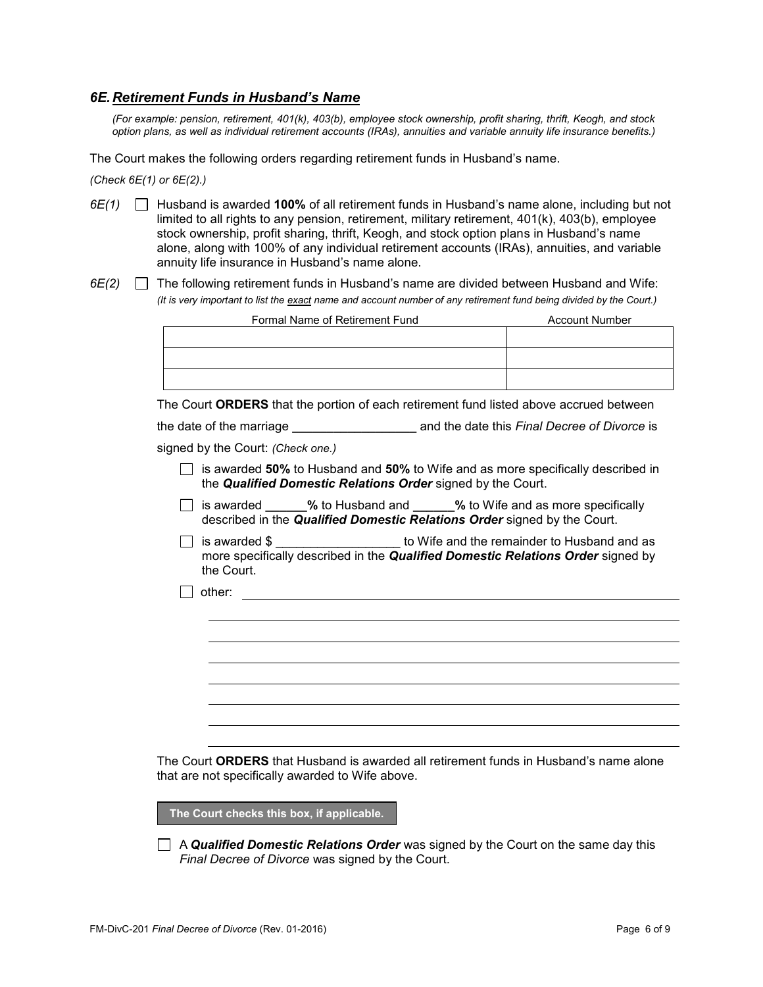## *6E.Retirement Funds in Husband's Name*

*(For example: pension, retirement, 401(k), 403(b), employee stock ownership, profit sharing, thrift, Keogh, and stock option plans, as well as individual retirement accounts (IRAs), annuities and variable annuity life insurance benefits.)*

The Court makes the following orders regarding retirement funds in Husband's name.

*(Check 6E(1) or 6E(2).)* 

- *6E(1)* Husband is awarded **100%** of all retirement funds in Husband's name alone, including but not limited to all rights to any pension, retirement, military retirement, 401(k), 403(b), employee stock ownership, profit sharing, thrift, Keogh, and stock option plans in Husband's name alone, along with 100% of any individual retirement accounts (IRAs), annuities, and variable annuity life insurance in Husband's name alone.
- *6E(2)* The following retirement funds in Husband's name are divided between Husband and Wife: *(It is very important to list the exact name and account number of any retirement fund being divided by the Court.)*

| Formal Name of Retirement Fund                                                                                                                                                           | <b>Account Number</b> |
|------------------------------------------------------------------------------------------------------------------------------------------------------------------------------------------|-----------------------|
|                                                                                                                                                                                          |                       |
|                                                                                                                                                                                          |                       |
|                                                                                                                                                                                          |                       |
| The Court ORDERS that the portion of each retirement fund listed above accrued between                                                                                                   |                       |
|                                                                                                                                                                                          |                       |
| signed by the Court: (Check one.)                                                                                                                                                        |                       |
| is awarded 50% to Husband and 50% to Wife and as more specifically described in<br>the Qualified Domestic Relations Order signed by the Court.                                           |                       |
| is awarded ______% to Husband and ______% to Wife and as more specifically<br>described in the Qualified Domestic Relations Order signed by the Court.                                   |                       |
| is awarded \$ ______________________ to Wife and the remainder to Husband and as<br>more specifically described in the <b>Qualified Domestic Relations Order</b> signed by<br>the Court. |                       |
| other:                                                                                                                                                                                   |                       |
|                                                                                                                                                                                          |                       |
|                                                                                                                                                                                          |                       |
|                                                                                                                                                                                          |                       |
|                                                                                                                                                                                          |                       |
|                                                                                                                                                                                          |                       |

The Court **ORDERS** that Husband is awarded all retirement funds in Husband's name alone that are not specifically awarded to Wife above.

**The Court checks this box, if applicable.**

A *Qualified Domestic Relations Order* was signed by the Court on the same day this *Final Decree of Divorce* was signed by the Court.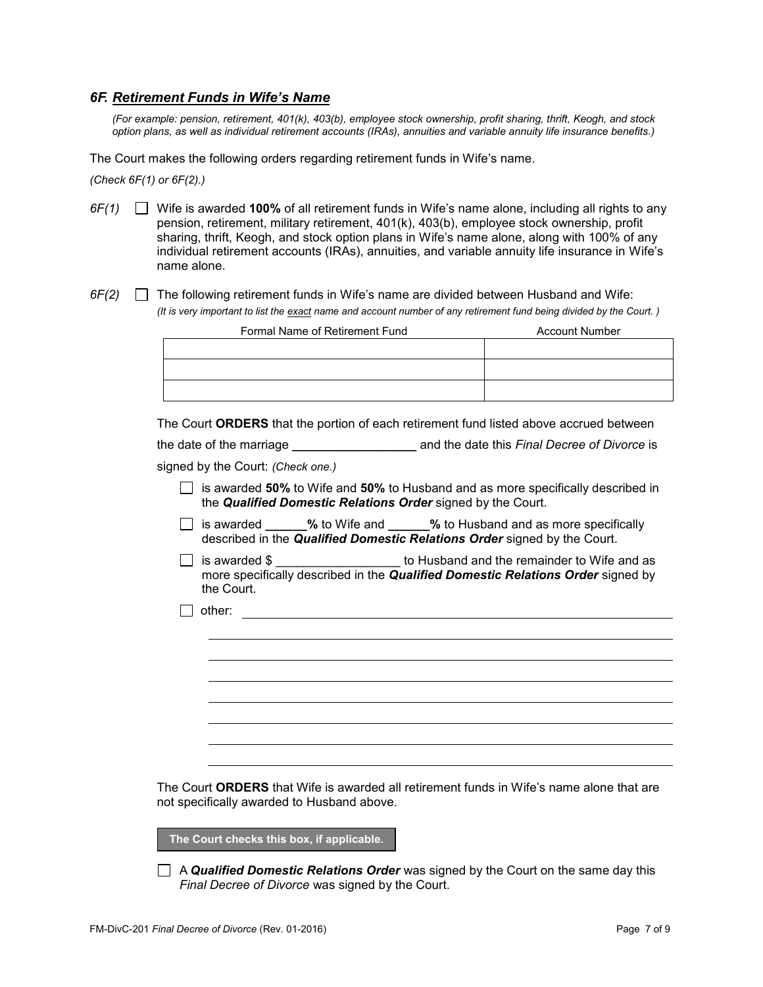### *6F. Retirement Funds in Wife's Name*

*(For example: pension, retirement, 401(k), 403(b), employee stock ownership, profit sharing, thrift, Keogh, and stock option plans, as well as individual retirement accounts (IRAs), annuities and variable annuity life insurance benefits.)*

The Court makes the following orders regarding retirement funds in Wife's name.

*(Check 6F(1) or 6F(2).)* 

- *6F(1)* Wife is awarded **100%** of all retirement funds in Wife's name alone, including all rights to any pension, retirement, military retirement, 401(k), 403(b), employee stock ownership, profit sharing, thrift, Keogh, and stock option plans in Wife's name alone, along with 100% of any individual retirement accounts (IRAs), annuities, and variable annuity life insurance in Wife's name alone.
- *6F(2)* The following retirement funds in Wife's name are divided between Husband and Wife: *(It is very important to list the exact name and account number of any retirement fund being divided by the Court. )*

| Formal Name of Retirement Fund | <b>Account Number</b> |
|--------------------------------|-----------------------|
|                                |                       |
|                                |                       |
|                                |                       |
|                                |                       |

The Court **ORDERS** that the portion of each retirement fund listed above accrued between

| the date of the marriage | and the date this Final Decree of Divorce is |  |
|--------------------------|----------------------------------------------|--|
|                          |                                              |  |

signed by the Court: *(Check one.)*

- is awarded **50%** to Wife and **50%** to Husband and as more specifically described in the *Qualified Domestic Relations Order* signed by the Court.
- **is awarded by to Wife and <b>by to Husband and as more specifically** described in the *Qualified Domestic Relations Order* signed by the Court.
- $\Box$  is awarded \$  $\Box$  to Husband and the remainder to Wife and as more specifically described in the *Qualified Domestic Relations Order* signed by the Court.
- other: the contract of the contract of the contract of the contract of the contract of the contract of the contract of the contract of the contract of the contract of the contract of the contract of the contract of the con

The Court **ORDERS** that Wife is awarded all retirement funds in Wife's name alone that are not specifically awarded to Husband above.

**The Court checks this box, if applicable.**

A *Qualified Domestic Relations Order* was signed by the Court on the same day this *Final Decree of Divorce* was signed by the Court.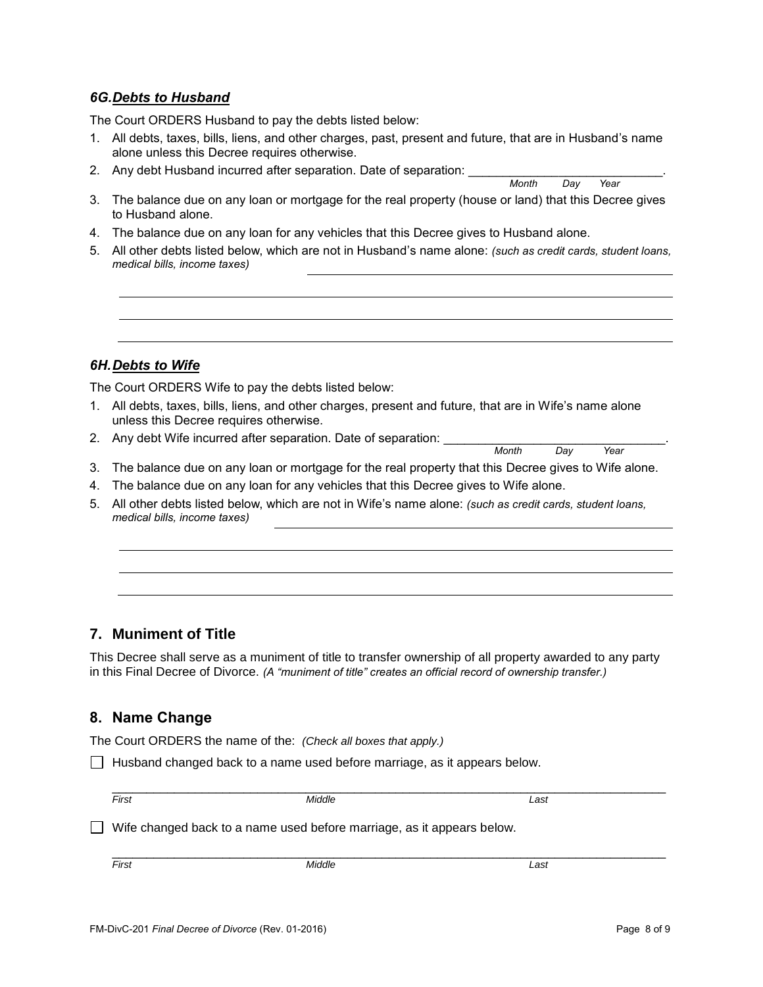## *6G.Debts to Husband*

The Court ORDERS Husband to pay the debts listed below:

- 1. All debts, taxes, bills, liens, and other charges, past, present and future, that are in Husband's name alone unless this Decree requires otherwise.
- 2. Any debt Husband incurred after separation. Date of separation: \_\_\_\_\_\_\_\_\_\_\_\_\_\_\_\_\_\_\_\_\_\_\_\_\_\_\_\_.

*Month* 

- 3. The balance due on any loan or mortgage for the real property (house or land) that this Decree gives to Husband alone.
- 4. The balance due on any loan for any vehicles that this Decree gives to Husband alone.
- 5. All other debts listed below, which are not in Husband's name alone: *(such as credit cards, student loans, medical bills, income taxes)*

## *6H.Debts to Wife*

The Court ORDERS Wife to pay the debts listed below:

- 1. All debts, taxes, bills, liens, and other charges, present and future, that are in Wife's name alone unless this Decree requires otherwise.
- 2. Any debt Wife incurred after separation. Date of separation: \_\_\_\_\_\_\_\_\_\_\_\_\_\_\_\_\_\_\_\_\_\_\_\_\_\_\_\_\_\_\_\_. *Month*
- 3. The balance due on any loan or mortgage for the real property that this Decree gives to Wife alone.
- 4. The balance due on any loan for any vehicles that this Decree gives to Wife alone.
- 5. All other debts listed below, which are not in Wife's name alone: *(such as credit cards, student loans, medical bills, income taxes)*

## **7. Muniment of Title**

This Decree shall serve as a muniment of title to transfer ownership of all property awarded to any party in this Final Decree of Divorce. *(A "muniment of title" creates an official record of ownership transfer.)*

## **8. Name Change**

The Court ORDERS the name of the: *(Check all boxes that apply.)*

 $\Box$  Husband changed back to a name used before marriage, as it appears below.

| -<br>-11 | . | . |
|----------|---|---|

 $\Box$  Wife changed back to a name used before marriage, as it appears below.

\_\_\_\_\_\_\_\_\_\_\_\_\_\_\_\_\_\_\_\_\_\_\_\_\_\_\_\_\_\_\_\_\_\_\_\_\_\_\_\_\_\_\_\_\_\_\_\_\_\_\_\_\_\_\_\_\_\_\_\_\_\_\_\_\_\_\_\_\_\_\_\_\_\_\_\_\_\_\_\_

*First Middle Last*